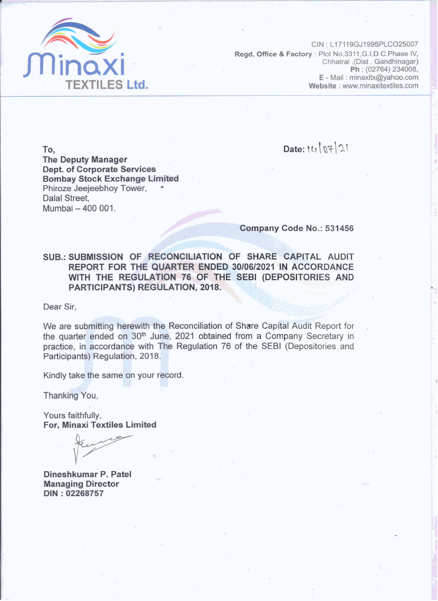

CIN: L17119GJ1995PLCO25007 Read. Office & Factory: Plot No.3311, G.I.D.C. Phase IV, Chhatral .(Dist . Gandhinagar) Ph: (02764) 234008, E - Mail: minaxitx@yahoo.com Website: www.minaxitextiles.com

Date: 14/07/21

To, **The Deputy Manager Dept. of Corporate Services Bombay Stock Exchange Limited** Phiroze Jeejeebhoy Tower, Dalal Street. Mumbai - 400 001.

## Company Code No.: 531456

SUB.: SUBMISSION OF RECONCILIATION OF SHARE CAPITAL AUDIT REPORT FOR THE QUARTER ENDED 30/06/2021 IN ACCORDANCE WITH THE REGULATION 76 OF THE SEBI (DEPOSITORIES AND PARTICIPANTS) REGULATION, 2018.

Dear Sir.

We are submitting herewith the Reconciliation of Share Capital Audit Report for the quarter ended on 30<sup>th</sup> June, 2021 obtained from a Company Secretary in practice, in accordance with The Regulation 76 of the SEBI (Depositories and Participants) Regulation, 2018.

Kindly take the same on your record.

Thanking You,

Yours faithfully, For, Minaxi Textiles Limited

Dineshkumar P. Patel **Managing Director** DIN: 02268757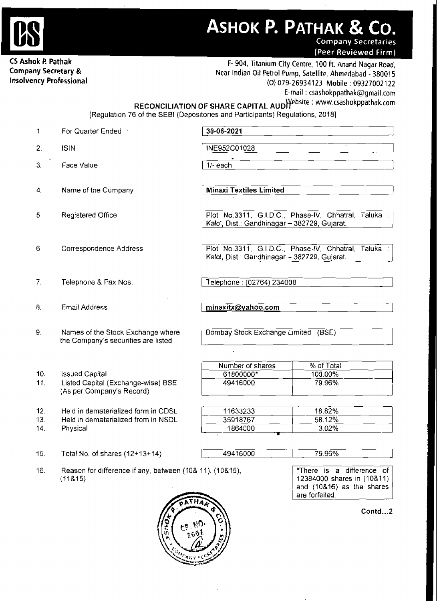

ASHOK P. PATHAK & CO.

**Company Secretaries** (Peer Reviewed Firm)

**CS Ashok P. Pathak 1988**<br> **Company Secretary & Near Indian Oil Petrol Pump, Satellite, Ahmedabad - <b>380015**<br>
Insolvency Professional (0) 079-26934123 Mobile : 09322002122 **Insolvency Professional (0) 079-269341 23 Mobile** : 09327002 122 E-mail : csashokppathak@gmail.com

RECONCILIATION OF SHARE CAPITAL AUD<sup>Website</sup>: www.csashokppathak.com

[Regulation 76 of the SEBl (Depositories and Participants) Regulations, 20181

| 1.  | For Quarter Ended                                               | 30-06-2021                                   |                                                      |
|-----|-----------------------------------------------------------------|----------------------------------------------|------------------------------------------------------|
| 2.  | <b>ISIN</b>                                                     | INE952C01028                                 |                                                      |
| 3.  | Face Value                                                      | $1/-$ each                                   |                                                      |
|     |                                                                 |                                              |                                                      |
| 4.  | Name of the Company                                             | <b>Minaxi Textiles Limited</b>               |                                                      |
|     |                                                                 |                                              |                                                      |
| 5.  | <b>Registered Office</b>                                        | Kalol, Dist.: Gandhinagar - 382729, Gujarat. | Plot No.3311, G.I.D.C., Phase-IV, Chhatral, Taluka : |
|     |                                                                 |                                              |                                                      |
| 6.  | Correspondence Address                                          |                                              | Plot No.3311, G.I.D.C., Phase-IV, Chhatral, Taluka : |
|     |                                                                 | Kalol, Dist.: Gandhinagar - 382729, Gujarat. |                                                      |
|     |                                                                 |                                              |                                                      |
| 7.  | Telephone & Fax Nos.                                            | Telephone : (02764) 234008                   |                                                      |
| 8.  | Email Address                                                   | minaxitx@yahoo.com                           |                                                      |
|     |                                                                 |                                              |                                                      |
| 9.  | Names of the Stock Exchange where                               | Bombay Stock Exchange Limited (BSE)          |                                                      |
|     | the Company's securities are listed                             |                                              |                                                      |
|     |                                                                 |                                              |                                                      |
|     |                                                                 | Number of shares                             | % of Total                                           |
| 10. | <b>Issued Capital</b>                                           | 61800000*                                    | 100.00%                                              |
| 11. | Listed Capital (Exchange-wise) BSE<br>(As per Company's Record) | 49416000                                     | 79.96%                                               |
|     |                                                                 |                                              |                                                      |
| 12. | Held in dematerialized form in CDSL                             | 11633233                                     | 18.82%                                               |
| 13. | Held in dematerialized from in NSDL                             | 35918767                                     | 58.12%                                               |
| 14. | Physical                                                        | 1864000                                      | 3.02%                                                |
| 15. | Total No. of shares $(12+13+14)$                                | 49416000                                     | 79.96%                                               |
|     |                                                                 |                                              |                                                      |
| 16. | Reason for difference if any, between (10& 11), (10&15),        |                                              | difference of<br>*There is<br>a                      |
|     | (11815)                                                         |                                              | 12384000 shares in (10&11)                           |
|     |                                                                 |                                              | and (10&15) as the shares                            |
|     |                                                                 |                                              | are forfeited.                                       |
|     |                                                                 |                                              | Contd2                                               |
|     |                                                                 |                                              |                                                      |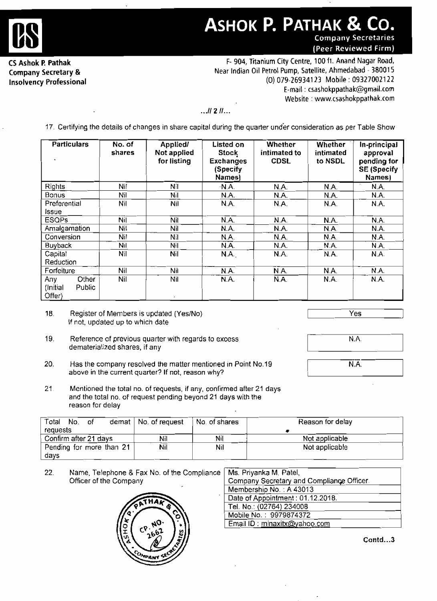

## **ASHOK P. PATHAK & C** .ဂ. **Company Secretaries**

(Peer Reviewed Firm)

**Company Secretary** & **Insolvency Professional** 

**CS Ashok P. Pathak <br>
F- 904, Titanium City Centre, 100 ft. Anand Nagar Road,** Near Indian Oil Petrol Pump, Satellite, Ahmedabad - 38001 5 (0) 079-269341 **23** Mobile : 093270021 22 E-mail : csashokppathak@gmail.com **Website** : www.csashokppathak.com

## ... **11 2 11** ...

17. Certifying the details of changes in share capital during the quarter under consideration as per Table Show

| <b>Particulars</b>                           | No. of<br>shares | Applied/<br>Not applied<br>for listing | Listed on<br><b>Stock</b><br><b>Exchanges</b><br>(Specify)<br>Names) | Whether<br>intimated to<br><b>CDSL</b> | Whether<br>intimated<br>to NSDL | In-principal<br>approval<br>pending for<br><b>SE (Specify</b><br>Names) |
|----------------------------------------------|------------------|----------------------------------------|----------------------------------------------------------------------|----------------------------------------|---------------------------------|-------------------------------------------------------------------------|
| Rights                                       | Nil              | Nil                                    | N.A.                                                                 | N.A.                                   | N.A.                            | N.A.                                                                    |
| <b>Bonus</b>                                 | Nil              | Nil                                    | N.A.                                                                 | N.A.                                   | N.A.                            | N.A.                                                                    |
| Preferential<br>Issue                        | Nil              | Nil                                    | N.A.                                                                 | N.A.                                   | N.A.                            | N.A.                                                                    |
| <b>ESQPs</b>                                 | Nil              | Nit                                    | N.A.                                                                 | N.A.                                   | N.A.                            | N.A.                                                                    |
| Amalgamation                                 | Nil              | Nil                                    | N.A.                                                                 | N.A.                                   | N.A.                            | N.A.                                                                    |
| Conversion                                   | Nil              | Nil                                    | N.A.                                                                 | N.A.                                   | N.A.                            | N.A.                                                                    |
| <b>Buyback</b>                               | Nil              | Nil                                    | N.A.                                                                 | N.A.                                   | N.A.                            | N.A.                                                                    |
| Capital<br>Reduction                         | Nil              | Nil                                    | N.A.                                                                 | N.A.                                   | N.A.                            | N.A.                                                                    |
| Forfeiture                                   | Nil              | Nil                                    | N.A.                                                                 | N.A.                                   | N.A.                            | N.A.                                                                    |
| Other<br>Any<br>Public<br>(Initial<br>Offer) | Nil              | Nil                                    | N.A.                                                                 | N.A.                                   | N.A.                            | N.A.                                                                    |

- 18. Register of Members is updated (Yes/No) If not, updated up to which date
- 19. Reference of previous quarter with regards to excess **demateria!ized** shares, if any
- 20. Has the company resolved the matter mentioned in Point No.19 above in the current quarter? If not, reason why?
- $Yes$
- $N.A$
- $\overline{\mathsf{NA}}$
- 21 Mentioned the total no, of requests, if **any,** confirmed after 21 days **and** the total no. of request pending beyond 21 days **with** the reason for delay

| Total<br>No.<br>- of     | demat   No. of request | No. of shares | Reason for delay |
|--------------------------|------------------------|---------------|------------------|
| requests                 |                        |               |                  |
| Confirm after 21 days    | Nil                    | Nil           | Not applicable   |
| Pending for more than 21 | Nil                    | Nil           | Not applicable   |
| davs                     |                        |               |                  |

22. Name, Telephone & Fax No. of the Compliance Officer of the Company



| Ms. Priyanka M. Patel,                    |
|-------------------------------------------|
| Company Secretary and Compliance Officer. |
| Membership No.: A 43013                   |
| Date of Appointment: 01.12.2018.          |
| Tel. No.: (02764) 234008                  |
| Mobile No.: 9979874372                    |
| Email ID: minaxitx@yahoo.com              |

**Contd** ... **<sup>3</sup>**